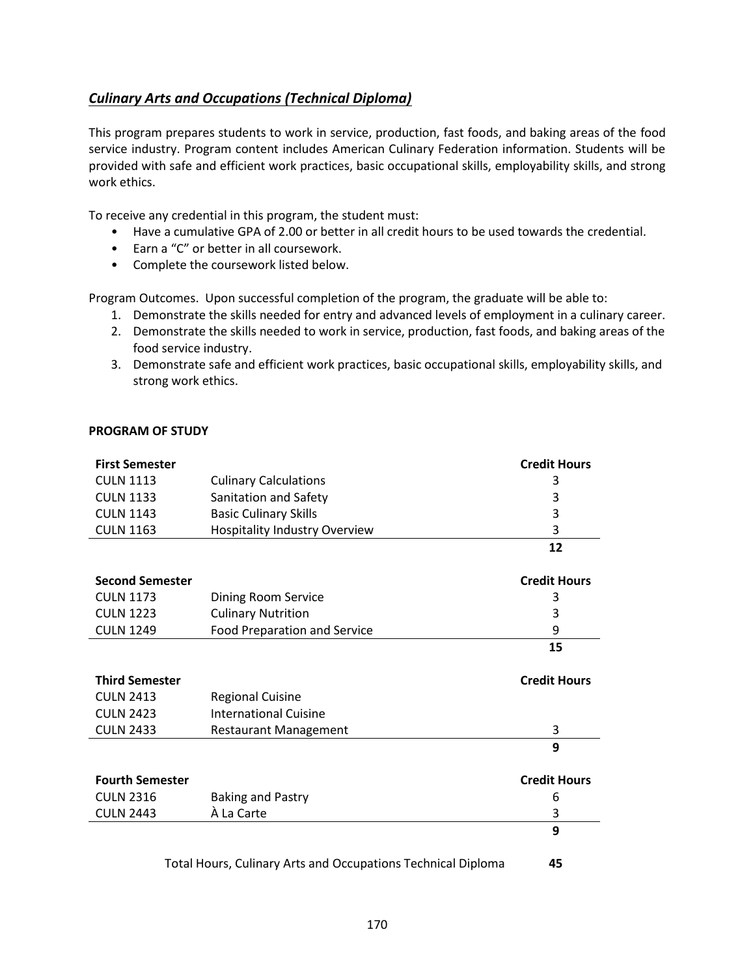## <span id="page-0-0"></span>*[Culinary Arts and Occupations \(Technical Diploma\)](#page-0-0)*

This program prepares students to work in service, production, fast foods, and baking areas of the food service industry. Program content includes American Culinary Federation information. Students will be provided with safe and efficient work practices, basic occupational skills, employability skills, and strong work ethics.

To receive any credential in this program, the student must:

- Have a cumulative GPA of 2.00 or better in all credit hours to be used towards the credential.
- Earn a "C" or better in all coursework.
- Complete the coursework listed below.

Program Outcomes. Upon successful completion of the program, the graduate will be able to:

- 1. Demonstrate the skills needed for entry and advanced levels of employment in a culinary career.
- 2. Demonstrate the skills needed to work in service, production, fast foods, and baking areas of the food service industry.
- 3. Demonstrate safe and efficient work practices, basic occupational skills, employability skills, and strong work ethics.

## **PROGRAM OF STUDY**

| <b>First Semester</b>                                        |                                      | <b>Credit Hours</b> |
|--------------------------------------------------------------|--------------------------------------|---------------------|
| <b>CULN 1113</b>                                             | <b>Culinary Calculations</b>         | 3                   |
| <b>CULN 1133</b>                                             | Sanitation and Safety                | 3                   |
| <b>CULN 1143</b>                                             | <b>Basic Culinary Skills</b>         | 3                   |
| <b>CULN 1163</b>                                             | <b>Hospitality Industry Overview</b> | 3                   |
|                                                              |                                      | 12                  |
|                                                              |                                      |                     |
| <b>Second Semester</b>                                       |                                      | <b>Credit Hours</b> |
| <b>CULN 1173</b>                                             | Dining Room Service                  | 3                   |
| <b>CULN 1223</b>                                             | <b>Culinary Nutrition</b>            | 3                   |
| <b>CULN 1249</b>                                             | <b>Food Preparation and Service</b>  | 9                   |
|                                                              |                                      | 15                  |
|                                                              |                                      |                     |
| <b>Third Semester</b>                                        |                                      | <b>Credit Hours</b> |
| <b>CULN 2413</b>                                             | <b>Regional Cuisine</b>              |                     |
| <b>CULN 2423</b>                                             | <b>International Cuisine</b>         |                     |
| <b>CULN 2433</b>                                             | <b>Restaurant Management</b>         | 3                   |
|                                                              |                                      | 9                   |
| <b>Fourth Semester</b>                                       |                                      | <b>Credit Hours</b> |
| <b>CULN 2316</b>                                             | <b>Baking and Pastry</b>             | 6                   |
| <b>CULN 2443</b>                                             | À La Carte                           | 3                   |
|                                                              |                                      | 9                   |
| Total Hours, Culinary Arts and Occupations Technical Diploma |                                      | 45                  |